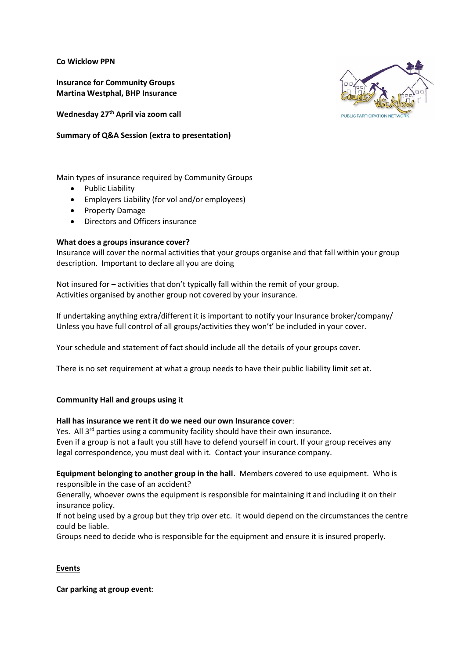**Co Wicklow PPN**

**Insurance for Community Groups Martina Westphal, BHP Insurance**

**Wednesday 27th April via zoom call**

# **Summary of Q&A Session (extra to presentation)**

Main types of insurance required by Community Groups

- Public Liability
- Employers Liability (for vol and/or employees)
- Property Damage
- Directors and Officers insurance

## **What does a groups insurance cover?**

Insurance will cover the normal activities that your groups organise and that fall within your group description. Important to declare all you are doing

Not insured for – activities that don't typically fall within the remit of your group. Activities organised by another group not covered by your insurance.

If undertaking anything extra/different it is important to notify your Insurance broker/company/ Unless you have full control of all groups/activities they won't' be included in your cover.

Your schedule and statement of fact should include all the details of your groups cover.

There is no set requirement at what a group needs to have their public liability limit set at.

## **Community Hall and groups using it**

## **Hall has insurance we rent it do we need our own Insurance cover**:

Yes. All  $3^{rd}$  parties using a community facility should have their own insurance. Even if a group is not a fault you still have to defend yourself in court. If your group receives any legal correspondence, you must deal with it. Contact your insurance company.

**Equipment belonging to another group in the hall**. Members covered to use equipment. Who is responsible in the case of an accident?

Generally, whoever owns the equipment is responsible for maintaining it and including it on their insurance policy.

If not being used by a group but they trip over etc. it would depend on the circumstances the centre could be liable.

Groups need to decide who is responsible for the equipment and ensure it is insured properly.

# **Events**

**Car parking at group event**:

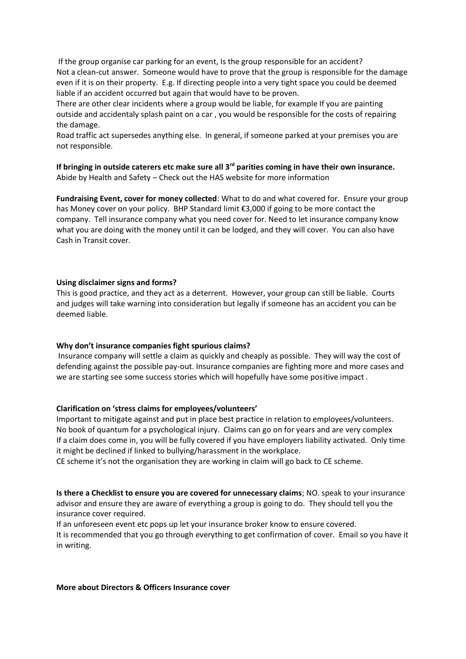If the group organise car parking for an event, Is the group responsible for an accident? Not a clean-cut answer. Someone would have to prove that the group is responsible for the damage even if it is on their property. E.g. If directing people into a very tight space you could be deemed liable if an accident occurred but again that would have to be proven.

There are other clear incidents where a group would be liable, for example If you are painting outside and accidentaly splash paint on a car , you would be responsible for the costs of repairing the damage.

Road traffic act supersedes anything else. In general, if someone parked at your premises you are not responsible.

**If bringing in outside caterers etc make sure all 3rd parities coming in have their own insurance.** Abide by Health and Safety – Check out the HAS website for more information

**Fundraising Event, cover for money collected**: What to do and what covered for. Ensure your group has Money cover on your policy. BHP Standard limit €3,000 if going to be more contact the company. Tell insurance company what you need cover for. Need to let insurance company know what you are doing with the money until it can be lodged, and they will cover. You can also have Cash in Transit cover.

## **Using disclaimer signs and forms?**

This is good practice, and they act as a deterrent. However, your group can still be liable. Courts and judges will take warning into consideration but legally if someone has an accident you can be deemed liable.

## **Why don't insurance companies fight spurious claims?**

Insurance company will settle a claim as quickly and cheaply as possible. They will way the cost of defending against the possible pay-out. Insurance companies are fighting more and more cases and we are starting see some success stories which will hopefully have some positive impact .

## **Clarification on 'stress claims for employees/volunteers'**

Important to mitigate against and put in place best practice in relation to employees/volunteers. No book of quantum for a psychological injury. Claims can go on for years and are very complex If a claim does come in, you will be fully covered if you have employers liability activated. Only time it might be declined if linked to bullying/harassment in the workplace.

CE scheme it's not the organisation they are working in claim will go back to CE scheme.

**Is there a Checklist to ensure you are covered for unnecessary claims**; NO. speak to your insurance advisor and ensure they are aware of everything a group is going to do. They should tell you the insurance cover required.

If an unforeseen event etc pops up let your insurance broker know to ensure covered.

It is recommended that you go through everything to get confirmation of cover. Email so you have it in writing.

## **More about Directors & Officers Insurance cover**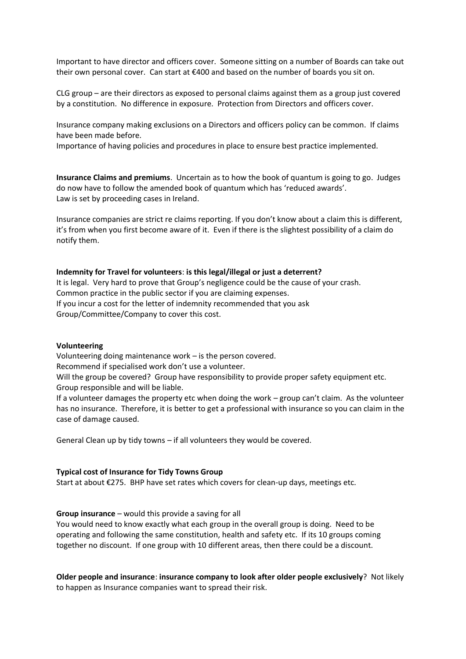Important to have director and officers cover. Someone sitting on a number of Boards can take out their own personal cover. Can start at €400 and based on the number of boards you sit on.

CLG group – are their directors as exposed to personal claims against them as a group just covered by a constitution. No difference in exposure. Protection from Directors and officers cover.

Insurance company making exclusions on a Directors and officers policy can be common. If claims have been made before.

Importance of having policies and procedures in place to ensure best practice implemented.

**Insurance Claims and premiums**. Uncertain as to how the book of quantum is going to go. Judges do now have to follow the amended book of quantum which has 'reduced awards'. Law is set by proceeding cases in Ireland.

Insurance companies are strict re claims reporting. If you don't know about a claim this is different, it's from when you first become aware of it. Even if there is the slightest possibility of a claim do notify them.

## **Indemnity for Travel for volunteers**: **is this legal/illegal or just a deterrent?**

It is legal. Very hard to prove that Group's negligence could be the cause of your crash. Common practice in the public sector if you are claiming expenses. If you incur a cost for the letter of indemnity recommended that you ask Group/Committee/Company to cover this cost.

#### **Volunteering**

Volunteering doing maintenance work – is the person covered. Recommend if specialised work don't use a volunteer. Will the group be covered? Group have responsibility to provide proper safety equipment etc. Group responsible and will be liable.

If a volunteer damages the property etc when doing the work – group can't claim. As the volunteer has no insurance. Therefore, it is better to get a professional with insurance so you can claim in the case of damage caused.

General Clean up by tidy towns – if all volunteers they would be covered.

## **Typical cost of Insurance for Tidy Towns Group**

Start at about €275. BHP have set rates which covers for clean-up days, meetings etc.

## **Group insurance** – would this provide a saving for all

You would need to know exactly what each group in the overall group is doing. Need to be operating and following the same constitution, health and safety etc. If its 10 groups coming together no discount. If one group with 10 different areas, then there could be a discount.

**Older people and insurance**: **insurance company to look after older people exclusively**? Not likely to happen as Insurance companies want to spread their risk.